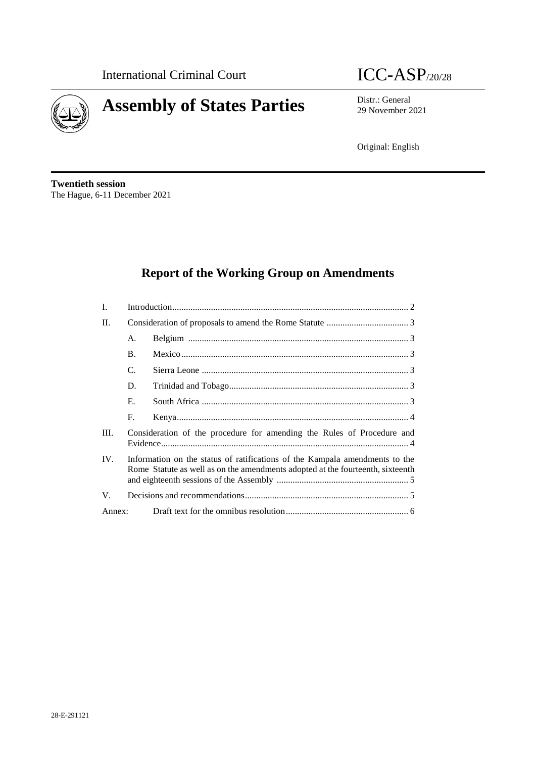

# **Assembly of States Parties** Distr.: General District General



29 November 2021

Original: English

**Twentieth session** The Hague, 6-11 December 2021

# **Report of the Working Group on Amendments**

| I.     |                                                                                                                                                               |  |
|--------|---------------------------------------------------------------------------------------------------------------------------------------------------------------|--|
| II.    |                                                                                                                                                               |  |
|        | A.                                                                                                                                                            |  |
|        | <b>B.</b>                                                                                                                                                     |  |
|        | C.                                                                                                                                                            |  |
|        | D.                                                                                                                                                            |  |
|        | Е.                                                                                                                                                            |  |
|        | F.                                                                                                                                                            |  |
| Ш.     | Consideration of the procedure for amending the Rules of Procedure and                                                                                        |  |
| IV.    | Information on the status of ratifications of the Kampala amendments to the<br>Rome Statute as well as on the amendments adopted at the fourteenth, sixteenth |  |
| V.     |                                                                                                                                                               |  |
| Annex: |                                                                                                                                                               |  |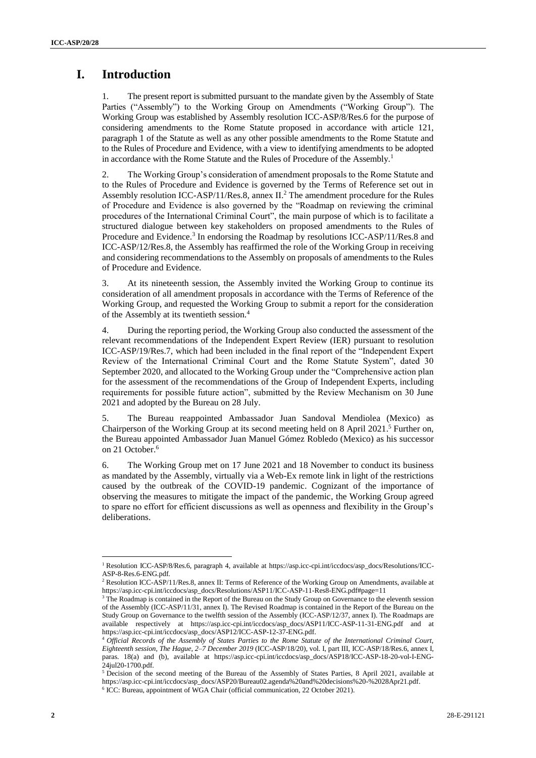# **I. Introduction**

1. The present report is submitted pursuant to the mandate given by the Assembly of State Parties ("Assembly") to the Working Group on Amendments ("Working Group"). The Working Group was established by Assembly resolution ICC-ASP/8/Res.6 for the purpose of considering amendments to the Rome Statute proposed in accordance with article 121, paragraph 1 of the Statute as well as any other possible amendments to the Rome Statute and to the Rules of Procedure and Evidence, with a view to identifying amendments to be adopted in accordance with the Rome Statute and the Rules of Procedure of the Assembly.<sup>1</sup>

2. The Working Group's consideration of amendment proposals to the Rome Statute and to the Rules of Procedure and Evidence is governed by the Terms of Reference set out in Assembly [resolution ICC-ASP/11/Res.8,](http://icc-cpi.int/iccdocs/asp_docs/Resolutions/ASP11/ICC-ASP-11-Res8-ENG.pdf) annex II.<sup>2</sup> The amendment procedure for the Rules of Procedure and Evidence is also governed by the "Roadmap on reviewing the criminal procedures of the International Criminal Court", the main purpose of which is to facilitate a structured dialogue between key stakeholders on proposed amendments to the Rules of Procedure and Evidence.<sup>3</sup> In endorsing the Roadmap by [resolutions ICC-ASP/11/Res.8](http://icc-cpi.int/iccdocs/asp_docs/Resolutions/ASP11/ICC-ASP-11-Res8-ENG.pdf) and ICC-ASP/12/Res.8, the Assembly has reaffirmed the role of the Working Group in receiving and considering recommendations to the Assembly on proposals of amendments to the Rules of Procedure and Evidence.

3. At its nineteenth session, the Assembly invited the Working Group to continue its consideration of all amendment proposals in accordance with the Terms of Reference of the Working Group, and requested the Working Group to submit a report for the consideration of the Assembly at its twentieth session.<sup>4</sup>

4. During the reporting period, the Working Group also conducted the assessment of the relevant recommendations of the Independent Expert Review (IER) pursuant to resolution ICC-ASP/19/Res.7, which had been included in the final report of the "Independent Expert Review of the International Criminal Court and the Rome Statute System", dated 30 September 2020, and allocated to the Working Group under the "Comprehensive action plan for the assessment of the recommendations of the Group of Independent Experts, including requirements for possible future action", submitted by the Review Mechanism on 30 June 2021 and adopted by the Bureau on 28 July.

5. The Bureau reappointed Ambassador Juan Sandoval Mendiolea (Mexico) as Chairperson of the Working Group at its second meeting held on 8 April 2021. <sup>5</sup> Further on, the Bureau appointed Ambassador Juan Manuel Gómez Robledo (Mexico) as his successor on 21 October.<sup>6</sup>

6. The Working Group met on 17 June 2021 and 18 November to conduct its business as mandated by the Assembly, virtually via a Web-Ex remote link in light of the restrictions caused by the outbreak of the COVID-19 pandemic. Cognizant of the importance of observing the measures to mitigate the impact of the pandemic, the Working Group agreed to spare no effort for efficient discussions as well as openness and flexibility in the Group's deliberations.

 $\overline{\phantom{a}}$ 

<sup>1</sup> Resolution ICC-ASP/8/Res.6, paragraph 4, available at https://asp.icc-cpi.int/iccdocs/asp\_docs/Resolutions/ICC-ASP-8-Res.6-ENG.pdf.

<sup>&</sup>lt;sup>2</sup> [Resolution ICC-ASP/11/Res.8,](http://icc-cpi.int/iccdocs/asp_docs/Resolutions/ASP11/ICC-ASP-11-Res8-ENG.pdf) annex II: Terms of Reference of the Working Group on Amendments, available at https://asp.icc-cpi.int/iccdocs/asp\_docs/Resolutions/ASP11/ICC-ASP-11-Res8-ENG.pdf#page=11

<sup>&</sup>lt;sup>3</sup> The Roadmap is contained in the Report of the Bureau on the Study Group on Governance to the eleventh session of the Assembly (ICC-ASP/11/31, annex I). The Revised Roadmap is contained in the Report of the Bureau on the Study Group on Governance to the twelfth session of the Assembly (ICC-ASP/12/37, annex I). The Roadmaps are available respectively at https://asp.icc-cpi.int/iccdocs/asp\_docs/ASP11/ICC-ASP-11-31-ENG.pdf and at https://asp.icc-cpi.int/iccdocs/asp\_docs/ASP12/ICC-ASP-12-37-ENG.pdf.

<sup>4</sup> *Official Records of the Assembly of States Parties to the Rome Statute of the International Criminal Court, Eighteenth session, The Hague, 2–7 December 2019* (ICC-ASP/18/20), vol. I, part III, ICC-ASP/18/Res.6, annex I, paras. 18(a) and (b), available at https://asp.icc-cpi.int/iccdocs/asp\_docs/ASP18/ICC-ASP-18-20-vol-I-ENG-24jul20-1700.pdf.

<sup>&</sup>lt;sup>5</sup> Decision of the second meeting of the Bureau of the Assembly of States Parties, 8 April 2021, available at https://asp.icc-cpi.int/iccdocs/asp\_docs/ASP20/Bureau02.agenda%20and%20decisions%20-%2028Apr21.pdf.

<sup>6</sup> ICC: Bureau, appointment of WGA Chair (official communication, 22 October 2021).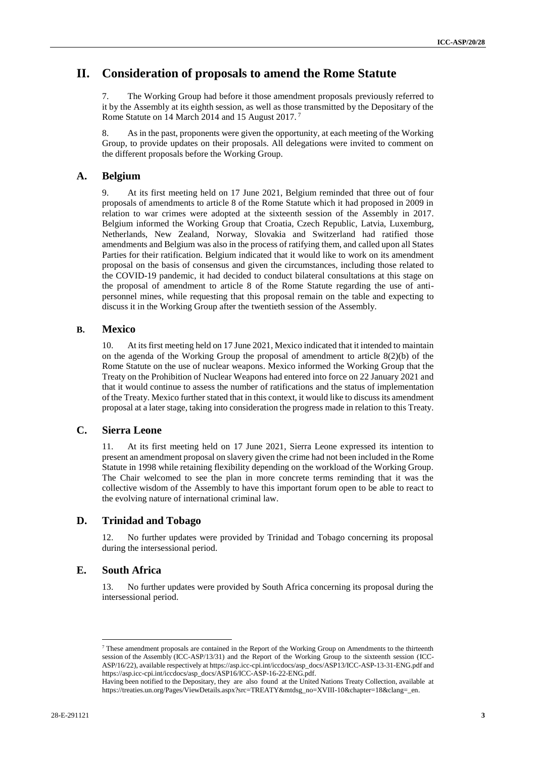# **II. Consideration of proposals to amend the Rome Statute**

7. The Working Group had before it those amendment proposals previously referred to it by the Assembly at its eighth session, as well as those transmitted by the Depositary of the Rome Statute on 14 March 2014 and 15 August 2017.<sup>7</sup>

8. As in the past, proponents were given the opportunity, at each meeting of the Working Group, to provide updates on their proposals. All delegations were invited to comment on the different proposals before the Working Group.

#### **A. Belgium**

9. At its first meeting held on 17 June 2021, Belgium reminded that three out of four proposals of amendments to article 8 of the Rome Statute which it had proposed in 2009 in relation to war crimes were adopted at the sixteenth session of the Assembly in 2017. Belgium informed the Working Group that Croatia, Czech Republic, Latvia, Luxemburg, Netherlands, New Zealand, Norway, Slovakia and Switzerland had ratified those amendments and Belgium was also in the process of ratifying them, and called upon all States Parties for their ratification. Belgium indicated that it would like to work on its amendment proposal on the basis of consensus and given the circumstances, including those related to the COVID-19 pandemic, it had decided to conduct bilateral consultations at this stage on the proposal of amendment to article 8 of the Rome Statute regarding the use of antipersonnel mines, while requesting that this proposal remain on the table and expecting to discuss it in the Working Group after the twentieth session of the Assembly.

#### **B. Mexico**

10. At its first meeting held on 17 June 2021, Mexico indicated that it intended to maintain on the agenda of the Working Group the proposal of amendment to article 8(2)(b) of the Rome Statute on the use of nuclear weapons. Mexico informed the Working Group that the Treaty on the Prohibition of Nuclear Weapons had entered into force on 22 January 2021 and that it would continue to assess the number of ratifications and the status of implementation of the Treaty. Mexico further stated that in this context, it would like to discuss its amendment proposal at a later stage, taking into consideration the progress made in relation to this Treaty.

#### **C. Sierra Leone**

11. At its first meeting held on 17 June 2021, Sierra Leone expressed its intention to present an amendment proposal on slavery given the crime had not been included in the Rome Statute in 1998 while retaining flexibility depending on the workload of the Working Group. The Chair welcomed to see the plan in more concrete terms reminding that it was the collective wisdom of the Assembly to have this important forum open to be able to react to the evolving nature of international criminal law.

#### **D. Trinidad and Tobago**

12. No further updates were provided by Trinidad and Tobago concerning its proposal during the intersessional period.

#### **E. South Africa**

 $\overline{a}$ 

13. No further updates were provided by South Africa concerning its proposal during the intersessional period.

<sup>7</sup> These amendment proposals are contained in the Report of the Working Group on Amendments to the thirteenth session of the Assembly (ICC-ASP/13/31) and the Report of the Working Group to the sixteenth session (ICC-ASP/16/22), available respectively at https://asp.icc-cpi.int/iccdocs/asp\_docs/ASP13/ICC-ASP-13-31-ENG.pdf and https://asp.icc-cpi.int/iccdocs/asp\_docs/ASP16/ICC-ASP-16-22-ENG.pdf.

Having been notified to the Depositary, they are also found at the United Nations Treaty Collection, available at [https://treaties.un.org/Pages/ViewDetails.aspx?src=TREATY&mtdsg\\_no=XVIII-10&chapter=18&clang=\\_en.](https://treaties.un.org/Pages/ViewDetails.aspx?src=TREATY&mtdsg_no=XVIII-10&chapter=18&clang=_en)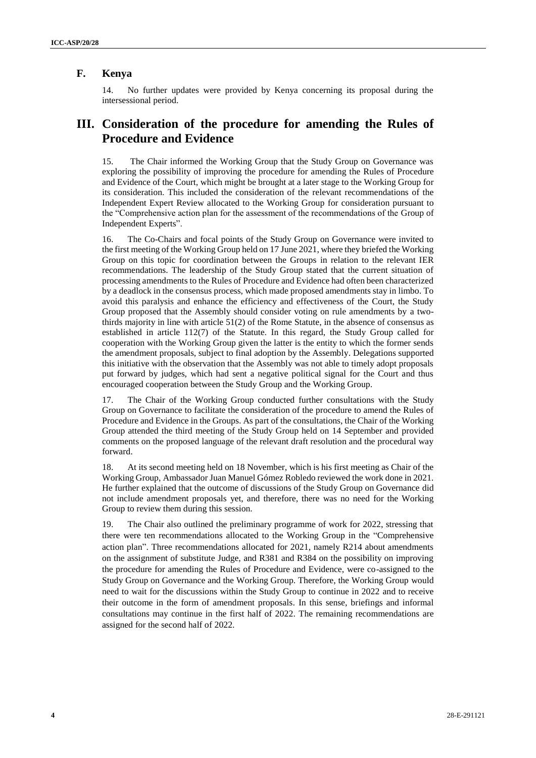#### **F. Kenya**

14. No further updates were provided by Kenya concerning its proposal during the intersessional period.

# **III. Consideration of the procedure for amending the Rules of Procedure and Evidence**

15. The Chair informed the Working Group that the Study Group on Governance was exploring the possibility of improving the procedure for amending the Rules of Procedure and Evidence of the Court, which might be brought at a later stage to the Working Group for its consideration. This included the consideration of the relevant recommendations of the Independent Expert Review allocated to the Working Group for consideration pursuant to the "Comprehensive action plan for the assessment of the recommendations of the Group of Independent Experts".

16. The Co-Chairs and focal points of the Study Group on Governance were invited to the first meeting of the Working Group held on 17 June 2021, where they briefed the Working Group on this topic for coordination between the Groups in relation to the relevant IER recommendations. The leadership of the Study Group stated that the current situation of processing amendments to the Rules of Procedure and Evidence had often been characterized by a deadlock in the consensus process, which made proposed amendments stay in limbo. To avoid this paralysis and enhance the efficiency and effectiveness of the Court, the Study Group proposed that the Assembly should consider voting on rule amendments by a twothirds majority in line with article 51(2) of the Rome Statute, in the absence of consensus as established in article 112(7) of the Statute. In this regard, the Study Group called for cooperation with the Working Group given the latter is the entity to which the former sends the amendment proposals, subject to final adoption by the Assembly. Delegations supported this initiative with the observation that the Assembly was not able to timely adopt proposals put forward by judges, which had sent a negative political signal for the Court and thus encouraged cooperation between the Study Group and the Working Group.

17. The Chair of the Working Group conducted further consultations with the Study Group on Governance to facilitate the consideration of the procedure to amend the Rules of Procedure and Evidence in the Groups. As part of the consultations, the Chair of the Working Group attended the third meeting of the Study Group held on 14 September and provided comments on the proposed language of the relevant draft resolution and the procedural way forward.

18. At its second meeting held on 18 November, which is his first meeting as Chair of the Working Group, Ambassador Juan Manuel Gómez Robledo reviewed the work done in 2021. He further explained that the outcome of discussions of the Study Group on Governance did not include amendment proposals yet, and therefore, there was no need for the Working Group to review them during this session.

19. The Chair also outlined the preliminary programme of work for 2022, stressing that there were ten recommendations allocated to the Working Group in the "Comprehensive action plan". Three recommendations allocated for 2021, namely R214 about amendments on the assignment of substitute Judge, and R381 and R384 on the possibility on improving the procedure for amending the Rules of Procedure and Evidence, were co-assigned to the Study Group on Governance and the Working Group. Therefore, the Working Group would need to wait for the discussions within the Study Group to continue in 2022 and to receive their outcome in the form of amendment proposals. In this sense, briefings and informal consultations may continue in the first half of 2022. The remaining recommendations are assigned for the second half of 2022.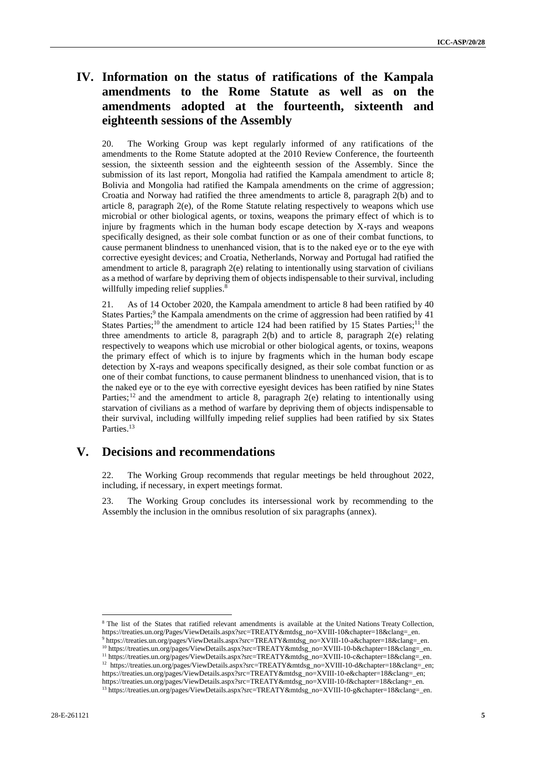# **IV. Information on the status of ratifications of the Kampala amendments to the Rome Statute as well as on the amendments adopted at the fourteenth, sixteenth and eighteenth sessions of the Assembly**

20. The Working Group was kept regularly informed of any ratifications of the amendments to the Rome Statute adopted at the 2010 Review Conference, the fourteenth session, the sixteenth session and the eighteenth session of the Assembly. Since the submission of its last report, Mongolia had ratified the Kampala amendment to article 8; Bolivia and Mongolia had ratified the Kampala amendments on the crime of aggression; Croatia and Norway had ratified the three amendments to article 8, paragraph 2(b) and to article 8, paragraph 2(e), of the Rome Statute relating respectively to weapons which use microbial or other biological agents, or toxins, weapons the primary effect of which is to injure by fragments which in the human body escape detection by X-rays and weapons specifically designed, as their sole combat function or as one of their combat functions, to cause permanent blindness to unenhanced vision, that is to the naked eye or to the eye with corrective eyesight devices; and Croatia, Netherlands, Norway and Portugal had ratified the amendment to article 8, paragraph 2(e) relating to intentionally using starvation of civilians as a method of warfare by depriving them of objects indispensable to their survival, including willfully impeding relief supplies.<sup>8</sup>

21. As of 14 October 2020, the Kampala amendment to article 8 had been ratified by 40 States Parties;<sup>9</sup> the Kampala amendments on the crime of aggression had been ratified by 41 States Parties;<sup>10</sup> the amendment to article 124 had been ratified by 15 States Parties;<sup>11</sup> the three amendments to article 8, paragraph 2(b) and to article 8, paragraph 2(e) relating respectively to weapons which use microbial or other biological agents, or toxins, weapons the primary effect of which is to injure by fragments which in the human body escape detection by X-rays and weapons specifically designed, as their sole combat function or as one of their combat functions, to cause permanent blindness to unenhanced vision, that is to the naked eye or to the eye with corrective eyesight devices has been ratified by nine States Parties;<sup>12</sup> and the amendment to article 8, paragraph 2(e) relating to intentionally using starvation of civilians as a method of warfare by depriving them of objects indispensable to their survival, including willfully impeding relief supplies had been ratified by six States Parties.<sup>13</sup>

# **V. Decisions and recommendations**

22. The Working Group recommends that regular meetings be held throughout 2022, including, if necessary, in expert meetings format.

23. The Working Group concludes its intersessional work by recommending to the Assembly the inclusion in the omnibus resolution of six paragraphs (annex).

 $\overline{\phantom{a}}$ 

<sup>8</sup> The list of the States that ratified relevant amendments is available at the United Nations Treaty Collection, [https://treaties.un.org/Pages/ViewDetails.aspx?src=TREATY&mtdsg\\_no=XVIII-10&chapter=18&clang=\\_en.](https://treaties.un.org/Pages/ViewDetails.aspx?src=TREATY&mtdsg_no=XVIII-10&chapter=18&clang=_en) <sup>9</sup> https://treaties.un.org/pages/ViewDetails.aspx?src=TREATY&mtdsg\_no=XVIII-10-a&chapter=18&clang=\_en.

<sup>10</sup> [https://treaties.un.org/pages/ViewDetails.aspx?src=TREATY&mtdsg\\_no=XVIII-10-b&chapter=18&clang=\\_en.](https://treaties.un.org/pages/ViewDetails.aspx?src=TREATY&mtdsg_no=XVIII-10-b&chapter=18&clang=_en)

<sup>&</sup>lt;sup>11</sup> https://treaties.un.org/pages/ViewDetails.aspx?src=TREATY&mtdsg\_no=XVIII-10-c&chapter=18&clang=\_en.

<sup>&</sup>lt;sup>12</sup> https://treaties.un.org/pages/ViewDetails.aspx?src=TREATY&mtdsg\_no=XVIII-10-d&chapter=18&clang=\_en; https://treaties.un.org/pages/ViewDetails.aspx?src=TREATY&mtdsg\_no=XVIII-10-e&chapter=18&clang=\_en; https://treaties.un.org/pages/ViewDetails.aspx?src=TREATY&mtdsg\_no=XVIII-10-f&chapter=18&clang=\_en.

<sup>13</sup> https://treaties.un.org/pages/ViewDetails.aspx?src=TREATY&mtdsg\_no=XVIII-10-g&chapter=18&clang=\_en.